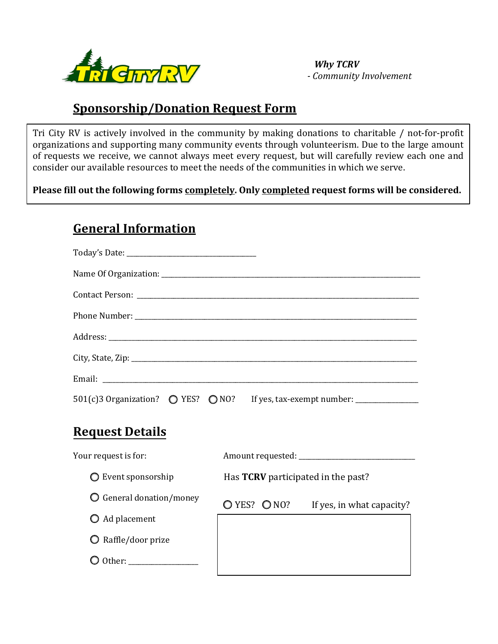

**General Information**

 *Why TCRV - Community Involvement*

## **Sponsorship/Donation Request Form**

Tri City RV is actively involved in the community by making donations to charitable / not-for-profit organizations and supporting many community events through volunteerism. Due to the large amount of requests we receive, we cannot always meet every request, but will carefully review each one and consider our available resources to meet the needs of the communities in which we serve.

**Please fill out the following forms completely. Only completed request forms will be considered.**

| 501(c)3 Organization? ● YES? ● NO? If yes, tax-exempt number: _________________ |                                                          |
|---------------------------------------------------------------------------------|----------------------------------------------------------|
| <b>Request Details</b>                                                          |                                                          |
| Your request is for:                                                            |                                                          |
| $\bigcirc$ Event sponsorship                                                    | Has <b>TCRV</b> participated in the past?                |
| $\bigcirc$ General donation/money                                               | $\bigcirc$ YES? $\bigcirc$ NO? If yes, in what capacity? |
| $\bigcirc$ Ad placement                                                         |                                                          |
| $\bigcirc$ Raffle/door prize                                                    |                                                          |
|                                                                                 |                                                          |
|                                                                                 |                                                          |